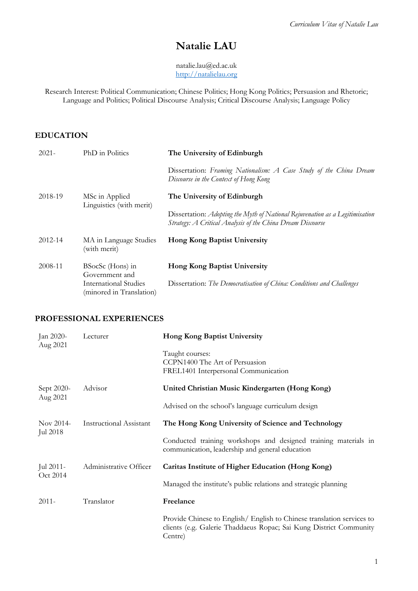# **Natalie LAU**

natalie.lau@ed.ac.uk [http://natalielau.org](http://natalielau.org/) 

Research Interest: Political Communication; Chinese Politics; Hong Kong Politics; Persuasion and Rhetoric; Language and Politics; Political Discourse Analysis; Critical Discourse Analysis; Language Policy

### **EDUCATION**

| $2021 -$ | PhD in Politics                                   | The University of Edinburgh                                                                                                                |
|----------|---------------------------------------------------|--------------------------------------------------------------------------------------------------------------------------------------------|
|          |                                                   | Dissertation: Framing Nationalism: A Case Study of the China Dream<br>Discourse in the Context of Hong Kong                                |
| 2018-19  | MSc in Applied<br>Linguistics (with merit)        | The University of Edinburgh                                                                                                                |
|          |                                                   | Dissertation: Adopting the Myth of National Rejuvenation as a Legitimisation<br>Strategy: A Critical Analysis of the China Dream Discourse |
| 2012-14  | MA in Language Studies<br>(with merit)            | <b>Hong Kong Baptist University</b>                                                                                                        |
| 2008-11  | BSocSc (Hons) in<br>Government and                | <b>Hong Kong Baptist University</b>                                                                                                        |
|          | International Studies<br>(minored in Translation) | Dissertation: The Democratisation of China: Conditions and Challenges                                                                      |

#### **PROFESSIONAL EXPERIENCES**

| Jan 2020-<br>Aug 2021  | Lecturer                       | Hong Kong Baptist University                                                                                                                            |
|------------------------|--------------------------------|---------------------------------------------------------------------------------------------------------------------------------------------------------|
|                        |                                | Taught courses:<br>CCPN1400 The Art of Persuasion<br>FREL1401 Interpersonal Communication                                                               |
| Sept 2020-<br>Aug 2021 | Advisor                        | United Christian Music Kindergarten (Hong Kong)                                                                                                         |
|                        |                                | Advised on the school's language curriculum design                                                                                                      |
| Nov 2014-<br>Jul 2018  | <b>Instructional Assistant</b> | The Hong Kong University of Science and Technology                                                                                                      |
|                        |                                | Conducted training workshops and designed training materials in<br>communication, leadership and general education                                      |
| Jul 2011-<br>Oct 2014  | Administrative Officer         | Caritas Institute of Higher Education (Hong Kong)                                                                                                       |
|                        |                                | Managed the institute's public relations and strategic planning                                                                                         |
| $2011 -$               | Translator                     | Freelance                                                                                                                                               |
|                        |                                | Provide Chinese to English/ English to Chinese translation services to<br>clients (e.g. Galerie Thaddaeus Ropac; Sai Kung District Community<br>Centre) |